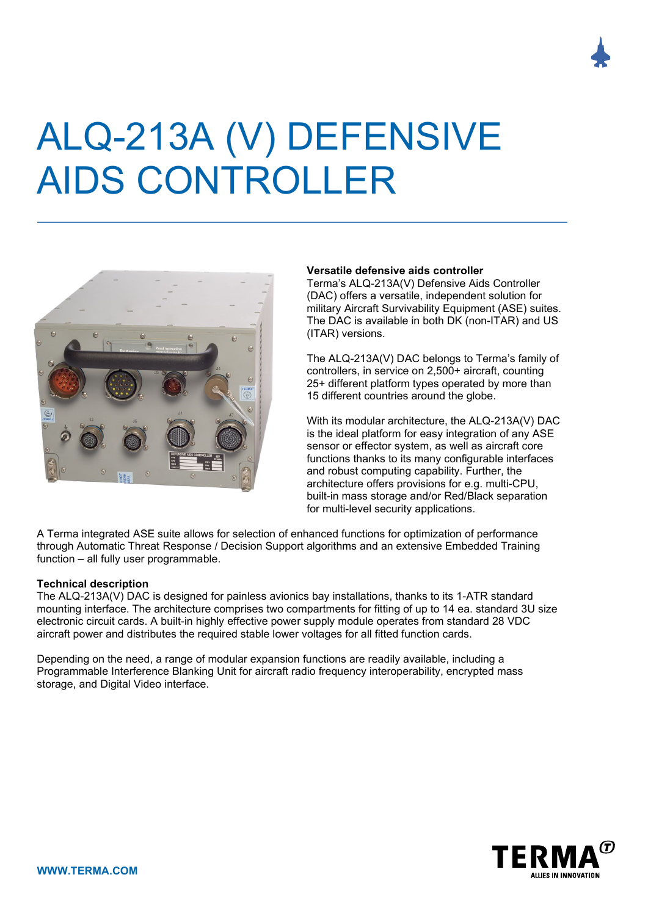

# ALQ-213A (V) DEFENSIVE AIDS CONTROLLER



#### **Versatile defensive aids controller**

Terma's ALQ-213A(V) Defensive Aids Controller (DAC) offers a versatile, independent solution for military Aircraft Survivability Equipment (ASE) suites. The DAC is available in both DK (non-ITAR) and US (ITAR) versions.

The ALQ-213A(V) DAC belongs to Terma's family of controllers, in service on 2,500+ aircraft, counting 25+ different platform types operated by more than 15 different countries around the globe.

With its modular architecture, the ALQ-213A(V) DAC is the ideal platform for easy integration of any ASE sensor or effector system, as well as aircraft core functions thanks to its many configurable interfaces and robust computing capability. Further, the architecture offers provisions for e.g. multi-CPU, built-in mass storage and/or Red/Black separation for multi-level security applications.

A Terma integrated ASE suite allows for selection of enhanced functions for optimization of performance through Automatic Threat Response / Decision Support algorithms and an extensive Embedded Training function – all fully user programmable.

#### **Technical description**

The ALQ-213A(V) DAC is designed for painless avionics bay installations, thanks to its 1-ATR standard mounting interface. The architecture comprises two compartments for fitting of up to 14 ea. standard 3U size electronic circuit cards. A built-in highly effective power supply module operates from standard 28 VDC aircraft power and distributes the required stable lower voltages for all fitted function cards.

Depending on the need, a range of modular expansion functions are readily available, including a Programmable Interference Blanking Unit for aircraft radio frequency interoperability, encrypted mass storage, and Digital Video interface.